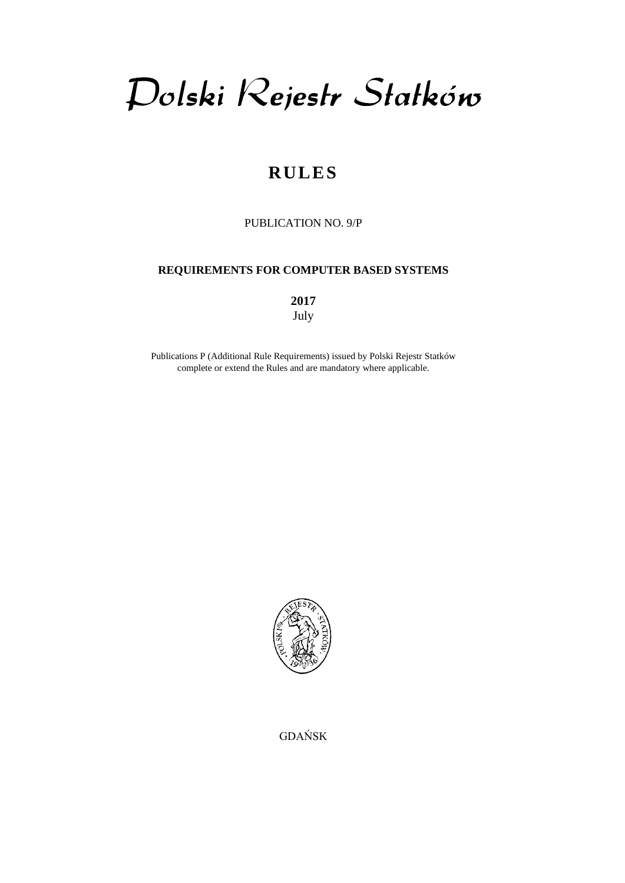Dolski Rejestr Statków

# **RULES**

PUBLICATION NO. 9/P

## **REQUIREMENTS FOR COMPUTER BASED SYSTEMS**

**2017** July

Publications P (Additional Rule Requirements) issued by Polski Rejestr Statków complete or extend the Rules and are mandatory where applicable.



GDAŃSK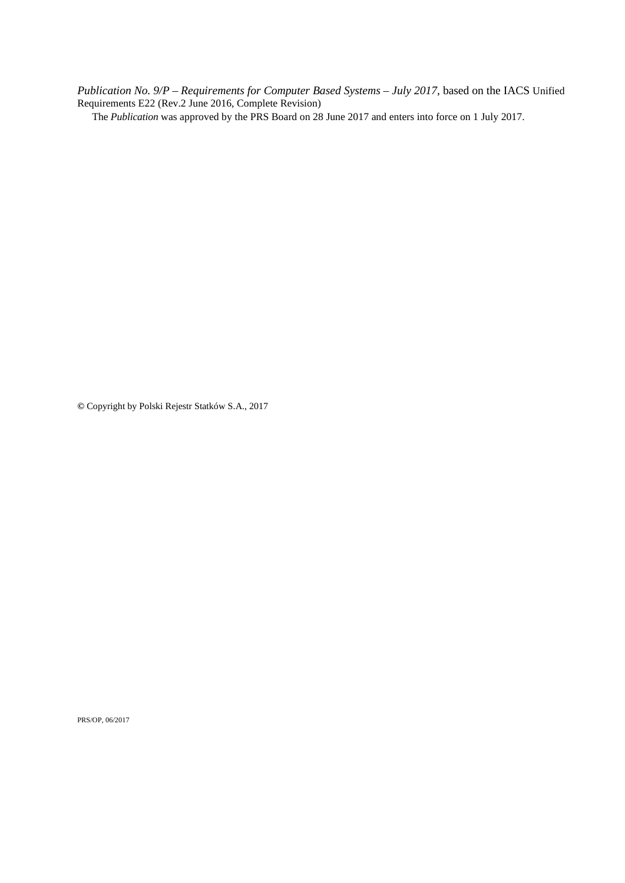*Publication No. 9/P* – *Requirements for Computer Based Systems – July 2017*, based on the IACS Unified Requirements E22 (Rev.2 June 2016, Complete Revision)

The *Publication* was approved by the PRS Board on 28 June 2017 and enters into force on 1 July 2017.

**©** Copyright by Polski Rejestr Statków S.A., 2017

PRS/OP, 06/2017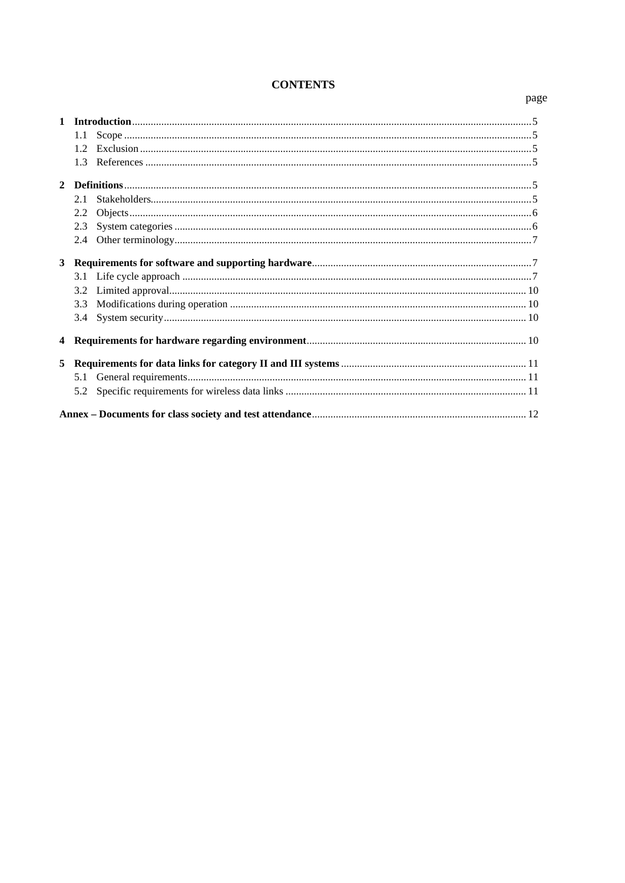# **CONTENTS**

|                | 1.1  |  |  |  |  |
|----------------|------|--|--|--|--|
|                | 1.2. |  |  |  |  |
|                | 1.3  |  |  |  |  |
|                |      |  |  |  |  |
|                | 2.1  |  |  |  |  |
|                | 2.2  |  |  |  |  |
|                | 2.3  |  |  |  |  |
|                | 2.4  |  |  |  |  |
| 3 <sup>1</sup> |      |  |  |  |  |
|                | 3.1  |  |  |  |  |
|                | 3.2  |  |  |  |  |
|                | 3.3  |  |  |  |  |
|                | 3.4  |  |  |  |  |
| $\overline{4}$ |      |  |  |  |  |
| 5              |      |  |  |  |  |
|                | 5.1  |  |  |  |  |
|                | 5.2  |  |  |  |  |
|                |      |  |  |  |  |

## page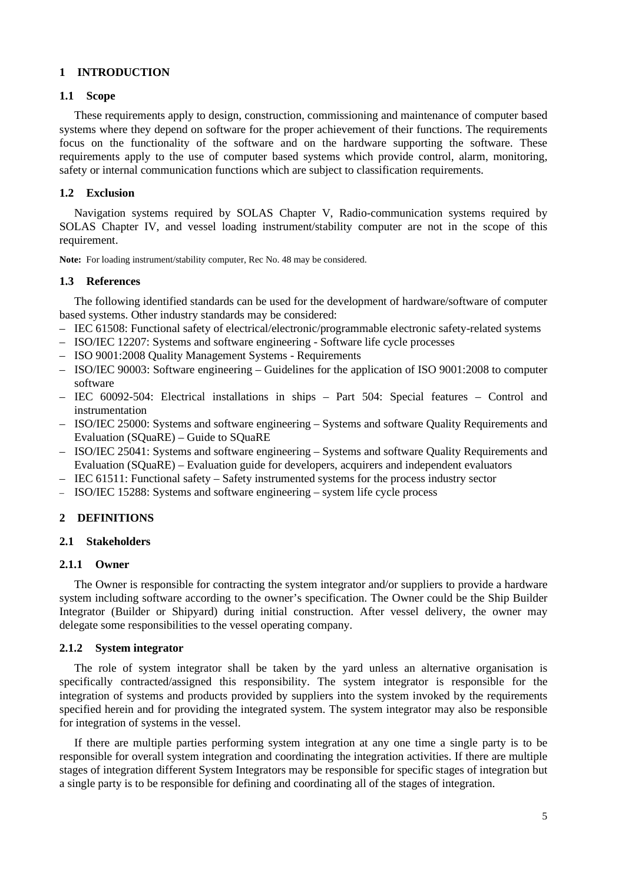## <span id="page-4-0"></span>**1 INTRODUCTION**

#### <span id="page-4-1"></span>**1.1 Scope**

These requirements apply to design, construction, commissioning and maintenance of computer based systems where they depend on software for the proper achievement of their functions. The requirements focus on the functionality of the software and on the hardware supporting the software. These requirements apply to the use of computer based systems which provide control, alarm, monitoring, safety or internal communication functions which are subject to classification requirements.

## <span id="page-4-2"></span>**1.2 Exclusion**

Navigation systems required by SOLAS Chapter V, Radio-communication systems required by SOLAS Chapter IV, and vessel loading instrument/stability computer are not in the scope of this requirement.

<span id="page-4-3"></span>**Note:** For loading instrument/stability computer, Rec No. 48 may be considered.

#### **1.3 References**

The following identified standards can be used for the development of hardware/software of computer based systems. Other industry standards may be considered:

- IEC 61508: Functional safety of electrical/electronic/programmable electronic safety-related systems
- ISO/IEC 12207: Systems and software engineering Software life cycle processes
- ISO 9001:2008 Quality Management Systems Requirements
- ISO/IEC 90003: Software engineering Guidelines for the application of ISO 9001:2008 to computer software
- IEC 60092-504: Electrical installations in ships Part 504: Special features Control and instrumentation
- ISO/IEC 25000: Systems and software engineering Systems and software Quality Requirements and Evaluation (SQuaRE) – Guide to SQuaRE
- ISO/IEC 25041: Systems and software engineering Systems and software Quality Requirements and Evaluation (SQuaRE) – Evaluation guide for developers, acquirers and independent evaluators
- IEC 61511: Functional safety Safety instrumented systems for the process industry sector
- <span id="page-4-4"></span>– ISO/IEC 15288: Systems and software engineering – system life cycle process

#### <span id="page-4-5"></span>**2 DEFINITIONS**

#### **2.1 Stakeholders**

#### **2.1.1 Owner**

The Owner is responsible for contracting the system integrator and/or suppliers to provide a hardware system including software according to the owner's specification. The Owner could be the Ship Builder Integrator (Builder or Shipyard) during initial construction. After vessel delivery, the owner may delegate some responsibilities to the vessel operating company.

## **2.1.2 System integrator**

The role of system integrator shall be taken by the yard unless an alternative organisation is specifically contracted/assigned this responsibility. The system integrator is responsible for the integration of systems and products provided by suppliers into the system invoked by the requirements specified herein and for providing the integrated system. The system integrator may also be responsible for integration of systems in the vessel.

If there are multiple parties performing system integration at any one time a single party is to be responsible for overall system integration and coordinating the integration activities. If there are multiple stages of integration different System Integrators may be responsible for specific stages of integration but a single party is to be responsible for defining and coordinating all of the stages of integration.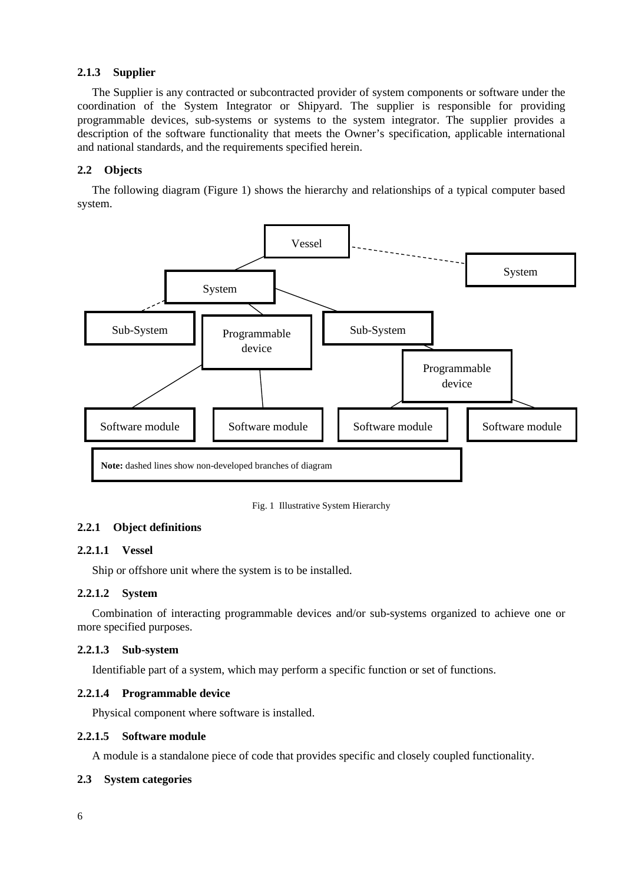## **2.1.3 Supplier**

The Supplier is any contracted or subcontracted provider of system components or software under the coordination of the System Integrator or Shipyard. The supplier is responsible for providing programmable devices, sub-systems or systems to the system integrator. The supplier provides a description of the software functionality that meets the Owner's specification, applicable international and national standards, and the requirements specified herein.

## <span id="page-5-0"></span>**2.2 Objects**

The following diagram (Figure 1) shows the hierarchy and relationships of a typical computer based system.



Fig. 1 Illustrative System Hierarchy

## **2.2.1 Object definitions**

## **2.2.1.1 Vessel**

Ship or offshore unit where the system is to be installed.

## **2.2.1.2 System**

Combination of interacting programmable devices and/or sub-systems organized to achieve one or more specified purposes.

## **2.2.1.3 Sub-system**

Identifiable part of a system, which may perform a specific function or set of functions.

## **2.2.1.4 Programmable device**

Physical component where software is installed.

#### **2.2.1.5 Software module**

A module is a standalone piece of code that provides specific and closely coupled functionality.

## <span id="page-5-1"></span>**2.3 System categories**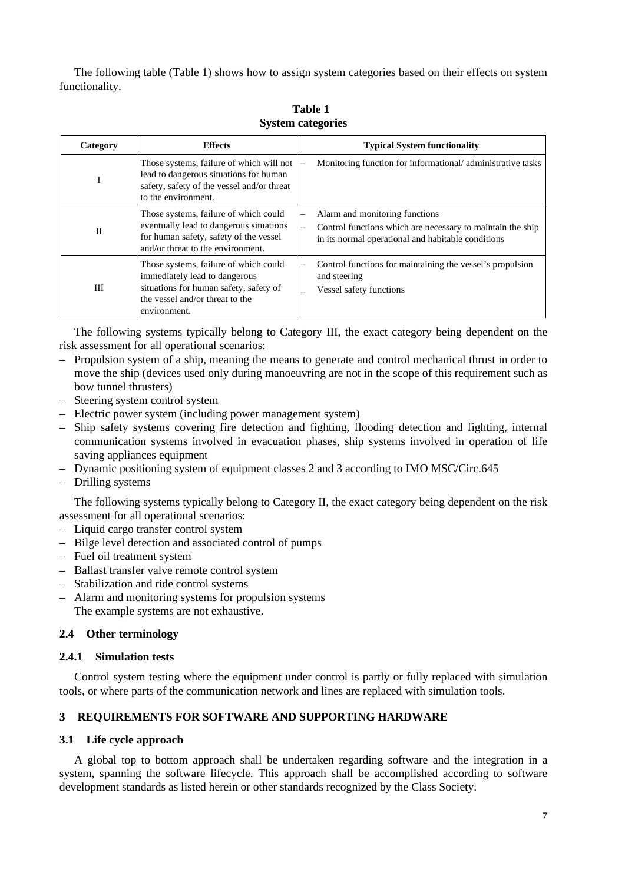The following table (Table 1) shows how to assign system categories based on their effects on system functionality.

| Category | <b>Effects</b>                                                                                                                                                      | <b>Typical System functionality</b>                                                                                                                                                 |  |  |  |
|----------|---------------------------------------------------------------------------------------------------------------------------------------------------------------------|-------------------------------------------------------------------------------------------------------------------------------------------------------------------------------------|--|--|--|
| 1.       | Those systems, failure of which will not<br>lead to dangerous situations for human<br>safety, safety of the vessel and/or threat<br>to the environment.             | Monitoring function for informational/administrative tasks<br>$\overline{\phantom{0}}$                                                                                              |  |  |  |
| П        | Those systems, failure of which could<br>eventually lead to dangerous situations<br>for human safety, safety of the vessel<br>and/or threat to the environment.     | Alarm and monitoring functions<br>—<br>Control functions which are necessary to maintain the ship<br>$\overline{\phantom{0}}$<br>in its normal operational and habitable conditions |  |  |  |
| Ш        | Those systems, failure of which could<br>immediately lead to dangerous<br>situations for human safety, safety of<br>the vessel and/or threat to the<br>environment. | Control functions for maintaining the vessel's propulsion<br>and steering<br>Vessel safety functions                                                                                |  |  |  |

**Table 1 System categories**

The following systems typically belong to Category III, the exact category being dependent on the risk assessment for all operational scenarios:

- Propulsion system of a ship, meaning the means to generate and control mechanical thrust in order to move the ship (devices used only during manoeuvring are not in the scope of this requirement such as bow tunnel thrusters)
- Steering system control system
- Electric power system (including power management system)
- Ship safety systems covering fire detection and fighting, flooding detection and fighting, internal communication systems involved in evacuation phases, ship systems involved in operation of life saving appliances equipment
- Dynamic positioning system of equipment classes 2 and 3 according to IMO MSC/Circ.645
- Drilling systems

The following systems typically belong to Category II, the exact category being dependent on the risk assessment for all operational scenarios:

- Liquid cargo transfer control system
- Bilge level detection and associated control of pumps
- Fuel oil treatment system
- Ballast transfer valve remote control system
- Stabilization and ride control systems
- Alarm and monitoring systems for propulsion systems The example systems are not exhaustive.

#### <span id="page-6-0"></span>**2.4 Other terminology**

#### **2.4.1 Simulation tests**

Control system testing where the equipment under control is partly or fully replaced with simulation tools, or where parts of the communication network and lines are replaced with simulation tools.

#### <span id="page-6-1"></span>**3 REQUIREMENTS FOR SOFTWARE AND SUPPORTING HARDWARE**

## <span id="page-6-2"></span>**3.1 Life cycle approach**

A global top to bottom approach shall be undertaken regarding software and the integration in a system, spanning the software lifecycle. This approach shall be accomplished according to software development standards as listed herein or other standards recognized by the Class Society.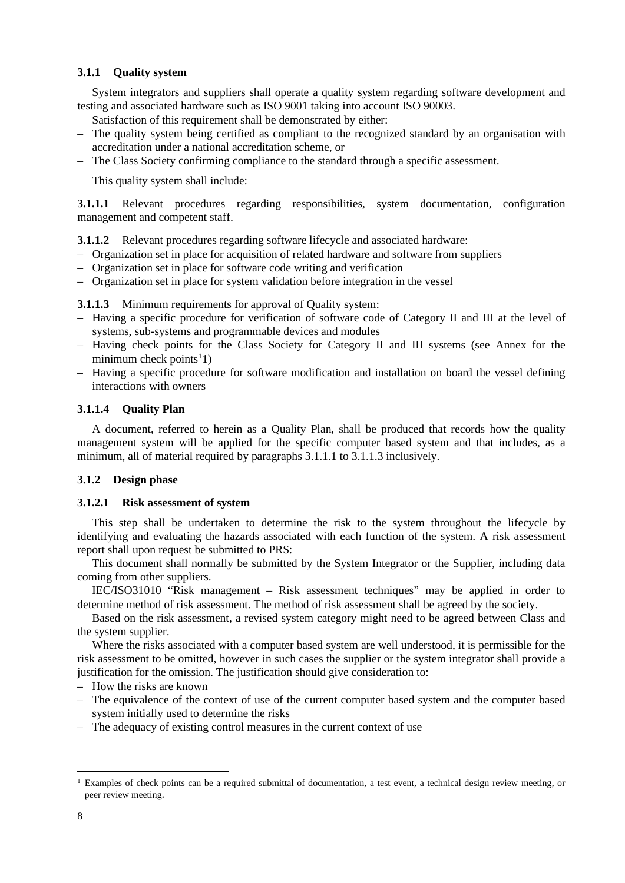#### **3.1.1 Quality system**

System integrators and suppliers shall operate a quality system regarding software development and testing and associated hardware such as ISO 9001 taking into account ISO 90003.

Satisfaction of this requirement shall be demonstrated by either:

- The quality system being certified as compliant to the recognized standard by an organisation with accreditation under a national accreditation scheme, or
- The Class Society confirming compliance to the standard through a specific assessment.

This quality system shall include:

**3.1.1.1** Relevant procedures regarding responsibilities, system documentation, configuration management and competent staff.

**3.1.1.2** Relevant procedures regarding software lifecycle and associated hardware:

- Organization set in place for acquisition of related hardware and software from suppliers
- Organization set in place for software code writing and verification
- Organization set in place for system validation before integration in the vessel

**3.1.1.3** Minimum requirements for approval of Quality system:

- Having a specific procedure for verification of software code of Category II and III at the level of systems, sub-systems and programmable devices and modules
- Having check points for the Class Society for Category II and III systems (see Annex for the  $minimum$  check points<sup>[1](#page-7-0)</sup>1)
- Having a specific procedure for software modification and installation on board the vessel defining interactions with owners

#### **3.1.1.4 Quality Plan**

A document, referred to herein as a Quality Plan, shall be produced that records how the quality management system will be applied for the specific computer based system and that includes, as a minimum, all of material required by paragraphs 3.1.1.1 to 3.1.1.3 inclusively.

#### **3.1.2 Design phase**

#### **3.1.2.1 Risk assessment of system**

This step shall be undertaken to determine the risk to the system throughout the lifecycle by identifying and evaluating the hazards associated with each function of the system. A risk assessment report shall upon request be submitted to PRS:

This document shall normally be submitted by the System Integrator or the Supplier, including data coming from other suppliers.

IEC/ISO31010 "Risk management – Risk assessment techniques" may be applied in order to determine method of risk assessment. The method of risk assessment shall be agreed by the society.

Based on the risk assessment, a revised system category might need to be agreed between Class and the system supplier.

Where the risks associated with a computer based system are well understood, it is permissible for the risk assessment to be omitted, however in such cases the supplier or the system integrator shall provide a justification for the omission. The justification should give consideration to:

- How the risks are known
- The equivalence of the context of use of the current computer based system and the computer based system initially used to determine the risks
- The adequacy of existing control measures in the current context of use

<span id="page-7-0"></span><sup>&</sup>lt;sup>1</sup> Examples of check points can be a required submittal of documentation, a test event, a technical design review meeting, or peer review meeting.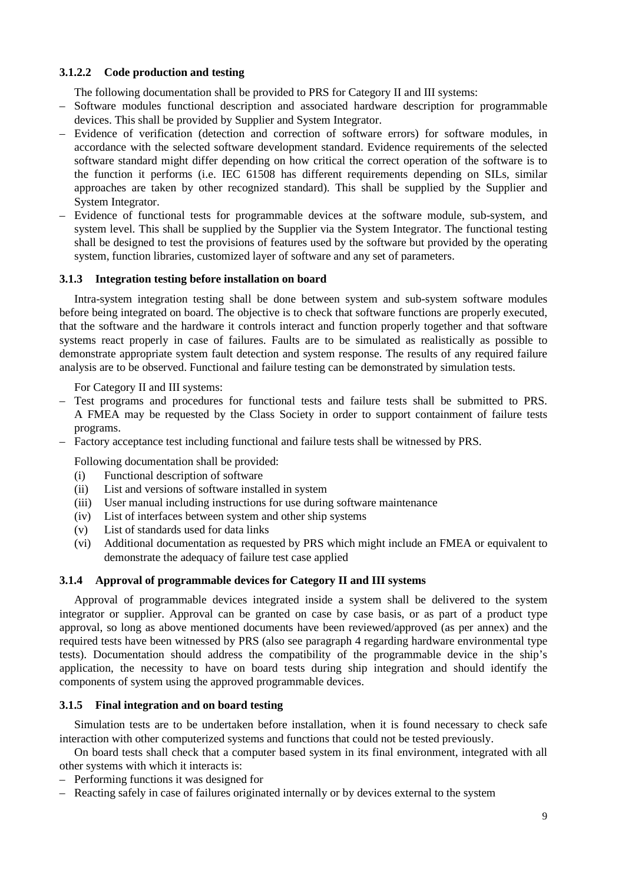## **3.1.2.2 Code production and testing**

The following documentation shall be provided to PRS for Category II and III systems:

- Software modules functional description and associated hardware description for programmable devices. This shall be provided by Supplier and System Integrator.
- Evidence of verification (detection and correction of software errors) for software modules, in accordance with the selected software development standard. Evidence requirements of the selected software standard might differ depending on how critical the correct operation of the software is to the function it performs (i.e. IEC 61508 has different requirements depending on SILs, similar approaches are taken by other recognized standard). This shall be supplied by the Supplier and System Integrator.
- Evidence of functional tests for programmable devices at the software module, sub-system, and system level. This shall be supplied by the Supplier via the System Integrator. The functional testing shall be designed to test the provisions of features used by the software but provided by the operating system, function libraries, customized layer of software and any set of parameters.

## **3.1.3 Integration testing before installation on board**

Intra-system integration testing shall be done between system and sub-system software modules before being integrated on board. The objective is to check that software functions are properly executed, that the software and the hardware it controls interact and function properly together and that software systems react properly in case of failures. Faults are to be simulated as realistically as possible to demonstrate appropriate system fault detection and system response. The results of any required failure analysis are to be observed. Functional and failure testing can be demonstrated by simulation tests.

For Category II and III systems:

- Test programs and procedures for functional tests and failure tests shall be submitted to PRS. A FMEA may be requested by the Class Society in order to support containment of failure tests programs.
- Factory acceptance test including functional and failure tests shall be witnessed by PRS.

Following documentation shall be provided:

- (i) Functional description of software
- (ii) List and versions of software installed in system
- (iii) User manual including instructions for use during software maintenance
- (iv) List of interfaces between system and other ship systems
- (v) List of standards used for data links
- (vi) Additional documentation as requested by PRS which might include an FMEA or equivalent to demonstrate the adequacy of failure test case applied

## **3.1.4 Approval of programmable devices for Category II and III systems**

Approval of programmable devices integrated inside a system shall be delivered to the system integrator or supplier. Approval can be granted on case by case basis, or as part of a product type approval, so long as above mentioned documents have been reviewed/approved (as per annex) and the required tests have been witnessed by PRS (also see paragraph 4 regarding hardware environmental type tests). Documentation should address the compatibility of the programmable device in the ship's application, the necessity to have on board tests during ship integration and should identify the components of system using the approved programmable devices.

## **3.1.5 Final integration and on board testing**

Simulation tests are to be undertaken before installation, when it is found necessary to check safe interaction with other computerized systems and functions that could not be tested previously.

On board tests shall check that a computer based system in its final environment, integrated with all other systems with which it interacts is:

- Performing functions it was designed for
- Reacting safely in case of failures originated internally or by devices external to the system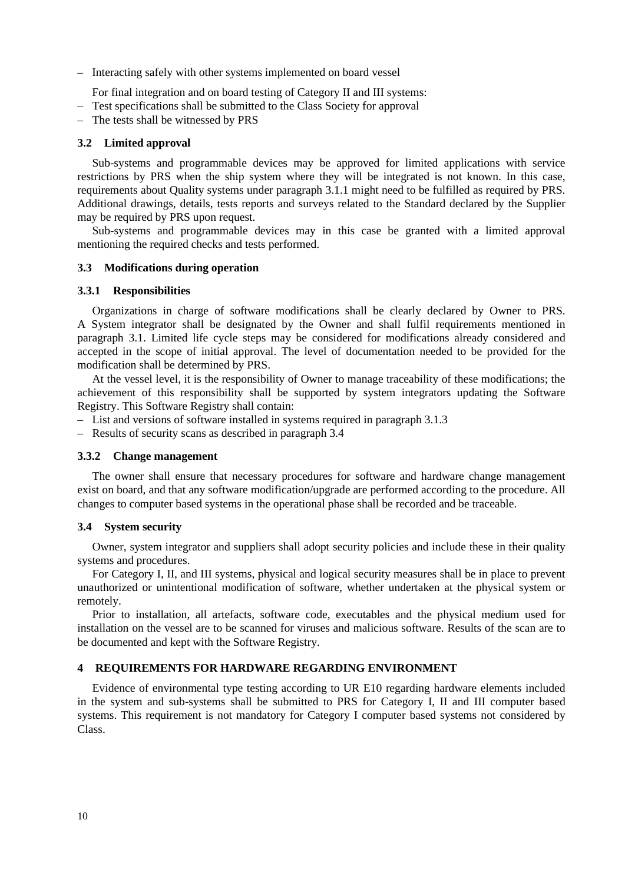– Interacting safely with other systems implemented on board vessel

For final integration and on board testing of Category II and III systems:

– Test specifications shall be submitted to the Class Society for approval

– The tests shall be witnessed by PRS

#### <span id="page-9-0"></span>**3.2 Limited approval**

Sub-systems and programmable devices may be approved for limited applications with service restrictions by PRS when the ship system where they will be integrated is not known. In this case, requirements about Quality systems under paragraph 3.1.1 might need to be fulfilled as required by PRS. Additional drawings, details, tests reports and surveys related to the Standard declared by the Supplier may be required by PRS upon request.

Sub-systems and programmable devices may in this case be granted with a limited approval mentioning the required checks and tests performed.

#### <span id="page-9-1"></span>**3.3 Modifications during operation**

#### **3.3.1 Responsibilities**

Organizations in charge of software modifications shall be clearly declared by Owner to PRS. A System integrator shall be designated by the Owner and shall fulfil requirements mentioned in paragraph 3.1. Limited life cycle steps may be considered for modifications already considered and accepted in the scope of initial approval. The level of documentation needed to be provided for the modification shall be determined by PRS.

At the vessel level, it is the responsibility of Owner to manage traceability of these modifications; the achievement of this responsibility shall be supported by system integrators updating the Software Registry. This Software Registry shall contain:

- List and versions of software installed in systems required in paragraph 3.1.3
- Results of security scans as described in paragraph 3.4

#### **3.3.2 Change management**

The owner shall ensure that necessary procedures for software and hardware change management exist on board, and that any software modification/upgrade are performed according to the procedure. All changes to computer based systems in the operational phase shall be recorded and be traceable.

#### <span id="page-9-2"></span>**3.4 System security**

Owner, system integrator and suppliers shall adopt security policies and include these in their quality systems and procedures.

For Category I, II, and III systems, physical and logical security measures shall be in place to prevent unauthorized or unintentional modification of software, whether undertaken at the physical system or remotely.

Prior to installation, all artefacts, software code, executables and the physical medium used for installation on the vessel are to be scanned for viruses and malicious software. Results of the scan are to be documented and kept with the Software Registry.

## <span id="page-9-3"></span>**4 REQUIREMENTS FOR HARDWARE REGARDING ENVIRONMENT**

Evidence of environmental type testing according to UR E10 regarding hardware elements included in the system and sub-systems shall be submitted to PRS for Category I, II and III computer based systems. This requirement is not mandatory for Category I computer based systems not considered by Class.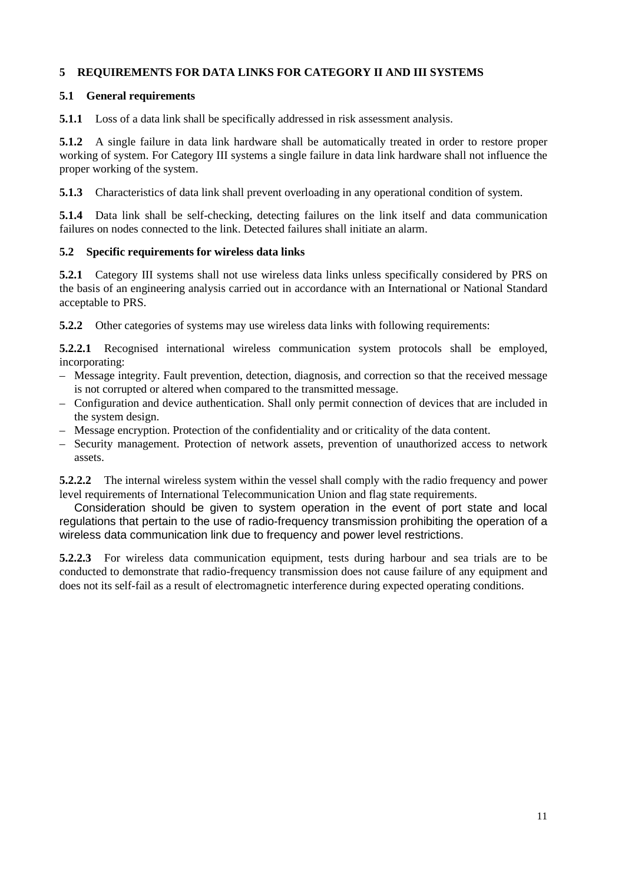## <span id="page-10-0"></span>**5 REQUIREMENTS FOR DATA LINKS FOR CATEGORY II AND III SYSTEMS**

## <span id="page-10-1"></span>**5.1 General requirements**

**5.1.1** Loss of a data link shall be specifically addressed in risk assessment analysis.

**5.1.2** A single failure in data link hardware shall be automatically treated in order to restore proper working of system. For Category III systems a single failure in data link hardware shall not influence the proper working of the system.

**5.1.3** Characteristics of data link shall prevent overloading in any operational condition of system.

**5.1.4** Data link shall be self-checking, detecting failures on the link itself and data communication failures on nodes connected to the link. Detected failures shall initiate an alarm.

## <span id="page-10-2"></span>**5.2 Specific requirements for wireless data links**

**5.2.1** Category III systems shall not use wireless data links unless specifically considered by PRS on the basis of an engineering analysis carried out in accordance with an International or National Standard acceptable to PRS.

**5.2.2** Other categories of systems may use wireless data links with following requirements:

**5.2.2.1** Recognised international wireless communication system protocols shall be employed, incorporating:

- Message integrity. Fault prevention, detection, diagnosis, and correction so that the received message is not corrupted or altered when compared to the transmitted message.
- Configuration and device authentication. Shall only permit connection of devices that are included in the system design.
- Message encryption. Protection of the confidentiality and or criticality of the data content.
- Security management. Protection of network assets, prevention of unauthorized access to network assets.

**5.2.2.2** The internal wireless system within the vessel shall comply with the radio frequency and power level requirements of International Telecommunication Union and flag state requirements.

Consideration should be given to system operation in the event of port state and local regulations that pertain to the use of radio-frequency transmission prohibiting the operation of a wireless data communication link due to frequency and power level restrictions.

**5.2.2.3** For wireless data communication equipment, tests during harbour and sea trials are to be conducted to demonstrate that radio-frequency transmission does not cause failure of any equipment and does not its self-fail as a result of electromagnetic interference during expected operating conditions.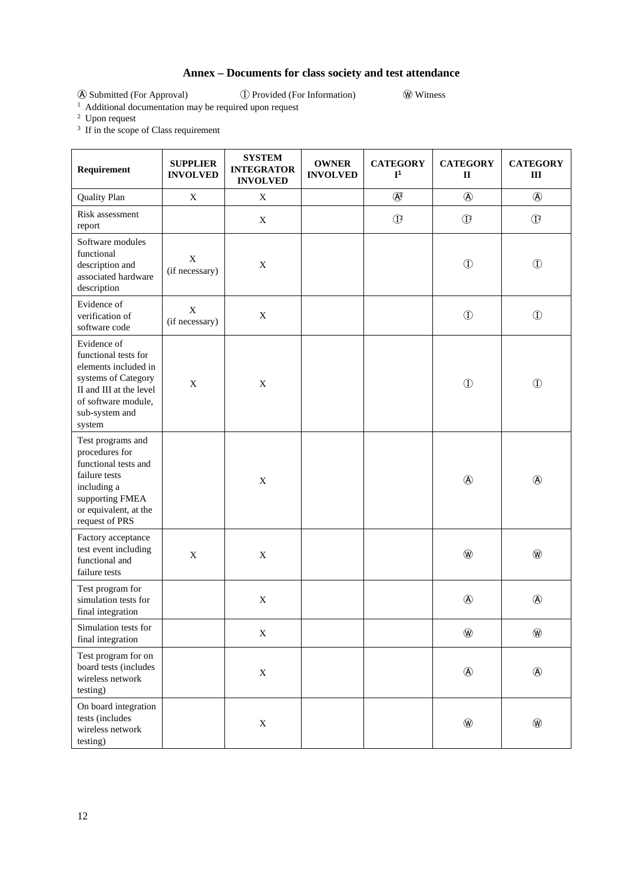## **Annex – Documents for class society and test attendance**

<span id="page-11-0"></span>Ⓐ Submitted (For Approval) Ⓘ Provided (For Information) Ⓦ Witness

<sup>1</sup> Additional documentation may be required upon request <sup>2</sup> Upon request

<sup>3</sup> If in the scope of Class requirement

| Requirement                                                                                                                                                      | <b>SUPPLIER</b><br><b>INVOLVED</b> | <b>SYSTEM</b><br><b>INTEGRATOR</b><br><b>INVOLVED</b> | <b>OWNER</b><br><b>INVOLVED</b> | <b>CATEGORY</b><br>$I^1$ | <b>CATEGORY</b><br>$\mathbf{I}$ | <b>CATEGORY</b><br>$\rm III$ |
|------------------------------------------------------------------------------------------------------------------------------------------------------------------|------------------------------------|-------------------------------------------------------|---------------------------------|--------------------------|---------------------------------|------------------------------|
| <b>Quality Plan</b>                                                                                                                                              | $\mathbf X$                        | $\mathbf X$                                           |                                 | $\bigcirc$               | $\circledA$                     | $\circledA$                  |
| Risk assessment<br>report                                                                                                                                        |                                    | X                                                     |                                 | $\mathbb{O}$             | $\mathbbm{C}$                   | $\mathbbm{C}$                |
| Software modules<br>functional<br>description and<br>associated hardware<br>description                                                                          | $\mathbf X$<br>(if necessary)      | $\mathbf X$                                           |                                 |                          | $\circled{1}$                   | $\circled{1}$                |
| Evidence of<br>verification of<br>software code                                                                                                                  | $\mathbf X$<br>(if necessary)      | $\mathbf X$                                           |                                 |                          | $\circled{1}$                   | $\circled{1}$                |
| Evidence of<br>functional tests for<br>elements included in<br>systems of Category<br>II and III at the level<br>of software module,<br>sub-system and<br>system | $\mathbf X$                        | $\mathbf X$                                           |                                 |                          | $\circled{1}$                   | $\circled{1}$                |
| Test programs and<br>procedures for<br>functional tests and<br>failure tests<br>including a<br>supporting FMEA<br>or equivalent, at the<br>request of PRS        |                                    | $\mathbf X$                                           |                                 |                          | $\circledA$                     | $^{\circledR}$               |
| Factory acceptance<br>test event including<br>functional and<br>failure tests                                                                                    | X                                  | $\mathbf X$                                           |                                 |                          | $^{\circledR}$                  | $^{\circledR}$               |
| Test program for<br>simulation tests for<br>final integration                                                                                                    |                                    | $\mathbf X$                                           |                                 |                          | $\circledA$                     |                              |
| Simulation tests for<br>final integration                                                                                                                        |                                    | $\mathbf X$                                           |                                 |                          | $\circledR$                     | $^{\circledR}$               |
| Test program for on<br>board tests (includes<br>wireless network<br>testing)                                                                                     |                                    | $\mathbf X$                                           |                                 |                          | $^{\circledR}$                  | $^{\circledR}$               |
| On board integration<br>tests (includes<br>wireless network<br>testing)                                                                                          |                                    | $\mathbf X$                                           |                                 |                          | $^{\circledR}$                  | $^{\circledR}$               |